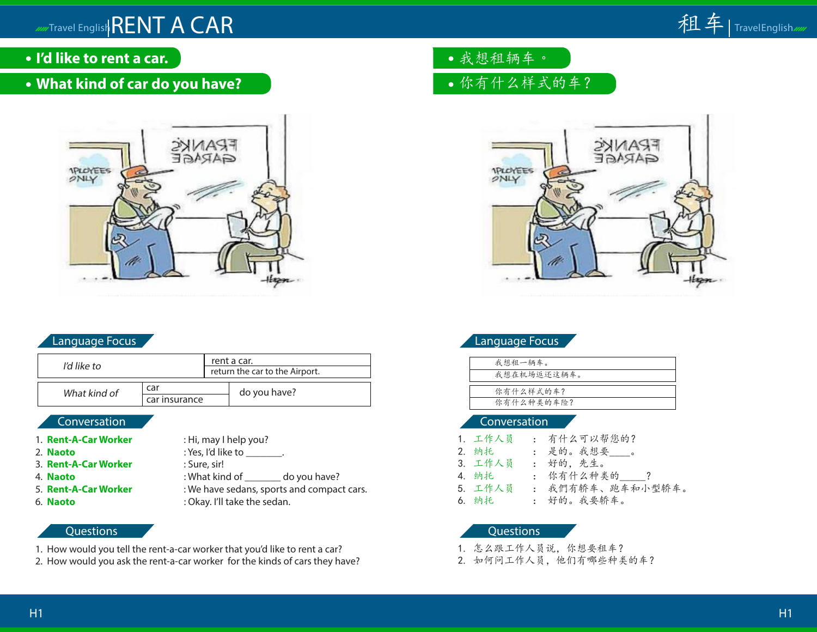- **I'd like to rent a car.**
- **What kind of car do you have?**



# Language Focus

| I'd like to  |               | rent a car.                    |              |
|--------------|---------------|--------------------------------|--------------|
|              |               | return the car to the Airport. |              |
| What kind of | car           |                                | do you have? |
|              | car insurance |                                |              |

# Conversation

- 1. **Rent-A-Car Worker** : Hi, may I help you?
- 2. **Naoto** : Yes, I'd like to \_\_\_\_\_\_\_.
- 3. **Rent-A-Car Worker** : Sure, sir!
- 4. **Naoto** : What kind of do you have?
- 5. **Rent-A-Car Worker** : We have sedans, sports and compact cars.
- 6. **Naoto** : Okay. I'll take the sedan.

# **Questions**

- 1. How would you tell the rent-a-car worker that you'd like to rent a car?
- 2. How would you ask the rent-a-car worker for the kinds of cars they have?

我想租辆车。

# 你有什么样式的车?



# Language Focus

| 我想租一辆车。     |
|-------------|
| 我想在机场返还这辆车。 |
|             |
| 你有什么样式的车?   |
| 你有什么种类的车险?  |
|             |

### Conversation

| 1.工作人员  | : 有什么可以帮您的?      |
|---------|------------------|
| 2. 纳托   | : 是的。我想要。        |
| 3. 工作人员 | : 好的,先生。         |
| 4. 纳托   | : 你有什么种类的 ?      |
| 5. 工作人员 | : 我們有轿车、跑车和小型轿车。 |
| 6. 纳托   | : 好的。我要轿车。       |

- 1. 怎么跟工作人员说,你想要租车?
- 2. 如何问工作人员,他们有哪些种类的车?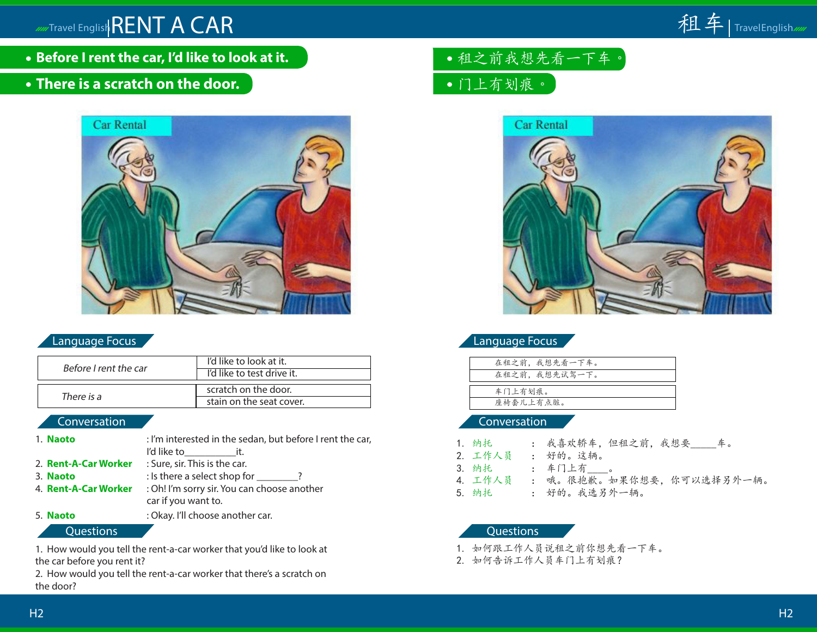

**Before I rent the car, I'd like to look at it.**

# **There is a scratch on the door.**



### Language Focus

| Before I rent the car | I'd like to look at it.<br>I'd like to test drive it. |
|-----------------------|-------------------------------------------------------|
| There is a            | scratch on the door.<br>stain on the seat cover.      |

#### Conversation

| 1. Naoto             | : I'm interested in the sedan, but before I rent the car, |
|----------------------|-----------------------------------------------------------|
|                      | I'd like to it.                                           |
| 2. Rent-A-Car Worker | : Sure, sir. This is the car.                             |
| 3. Naoto             | $:$ Is there a select shop for $\,$ ?                     |
| 4. Rent-A-Car Worker | : Oh! I'm sorry sir. You can choose another               |
|                      | car if you want to.                                       |
| 5. Naoto             | : Okay. I'll choose another car.                          |

Questions

1. How would you tell the rent-a-car worker that you'd like to look at the car before you rent it?

2. How would you tell the rent-a-car worker that there's a scratch on the door?

- 租之前我想先看一下车。
- 门上有划痕。



## Language Focus

|           | 在租之前, 我想先看一下车。 |
|-----------|----------------|
|           | 在租之前, 我想先试驾一下。 |
|           |                |
| 车门上有划痕。   |                |
| 座椅套儿上有点脏。 |                |

#### Conversation

| 1.纳托    |  |  |  |
|---------|--|--|--|
| _ _ _ _ |  |  |  |

- 2. 工作人员 : 好的。这辆。
- 3. 纳托 : 车门上有\_\_\_\_。
- 4. 工作人员 : 哦。很抱歉。如果你想要,你可以选择另外一辆。
- 5. 纳托 : 好的。我选另外一辆。

- 1. 如何跟工作人员说租之前你想先看一下车。
- 2. 如何告诉工作人员车门上有划痕?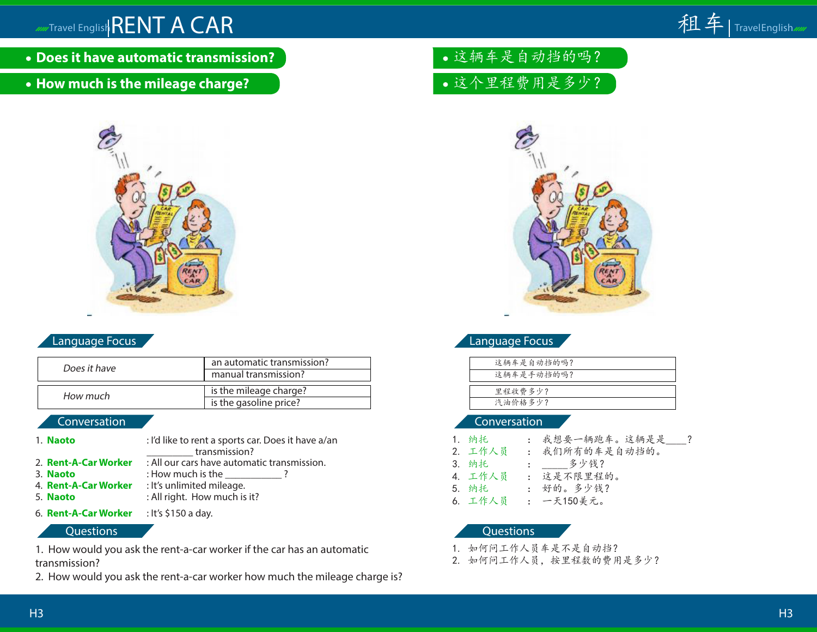- **Does it have automatic transmission?**
- **How much is the mileage charge?**



# Language Focus

| Does it have | an automatic transmission? |  |
|--------------|----------------------------|--|
|              | manual transmission?       |  |
|              | is the mileage charge?     |  |
| How much     | is the gasoline price?     |  |

# Conversation

| 1. Naoto              | : I'd like to rent a sports car. Does it have a/an                      |
|-----------------------|-------------------------------------------------------------------------|
|                       | transmission?                                                           |
|                       | 2. <b>Rent-A-Car Worker</b> : All our cars have automatic transmission. |
| 3. Naoto              | : How much is the $\,$                                                  |
| 4.  Rent-A-Car Worker | : It's unlimited mileage.                                               |
| 5. <b>Naoto</b>       | : All right. How much is it?                                            |
|                       |                                                                         |

6. **Rent-A-Car Worker** : It's \$150 a day.

### **Questions**

1. How would you ask the rent-a-car worker if the car has an automatic transmission?

2. How would you ask the rent-a-car worker how much the mileage charge is?

这辆车是自动挡的吗?

这个里程费用是多少?



# Language Focus

| 这辆车是自动挡的吗? |  |
|------------|--|
| 这辆车是手动挡的吗? |  |
|            |  |
| 里程收费多少?    |  |
| 汽油价格多少?    |  |

### Conversation

| 1. 纳托   | : 我想要一辆跑车。这辆是是  ? |
|---------|-------------------|
| 2. 工作人员 | : 我们所有的车是自动挡的。    |
| 3. 纳托   | : _ 多少钱?          |
| 4. 工作人员 | : 这是不限里程的。        |
| 5. 纳托   | : 好的。多少钱?         |
| 6. 工作人员 | : 一天150美元。        |
|         |                   |

- 1. 如何问工作人员车是不是自动挡?
- 2. 如何问工作人员,按里程数的费用是多少?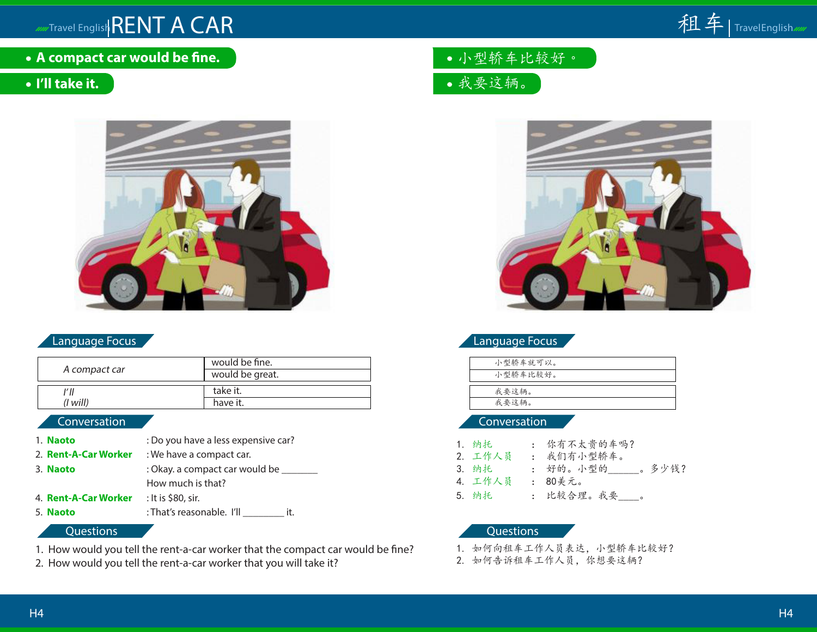

**A compact car would be fine.**

# **I'll take it.**



# Language Focus

| A compact car | would be fine.<br>would be great. |
|---------------|-----------------------------------|
| (I will)      | take it.<br>have it.              |

#### Conversation

- 1. **Naoto** : Do you have a less expensive car?
- 2. **Rent-A-Car Worker** : We have a compact car.
- 3. **Naoto** : Okay. a compact car would be \_\_\_\_\_\_\_\_
- How much is that?
- 4. **Rent-A-Car Worker** : It is \$80, sir.
- 5. **Naoto** : That's reasonable. I'll \_\_\_\_\_\_\_\_\_\_ it.

#### **Questions**

- 1. How would you tell the rent-a-car worker that the compact car would be fine?
- 2. How would you tell the rent-a-car worker that you will take it?

小型轿车比较好。

我要这辆。



# Language Focus

| 小型轿车就可以。 |
|----------|
| 小型轿车比较好。 |
|          |
| 我要这辆。    |
| 我要这辆。    |
|          |

## **Conversation**

| 1. 纳托   | : 你有不太贵的车吗?        |
|---------|--------------------|
| 2. 工作人员 | : 我们有小型轿车。         |
| 3. 纳托   | 。 多少钱?<br>: 好的。小型的 |
| 4. 工作人员 | : 80美元。            |
| 5. 纳托   | : 比较合理。我要__。       |

- 1. 如何向租车工作人员表达,小型轿车比较好?
- 2. 如何告诉租车工作人员,你想要这辆?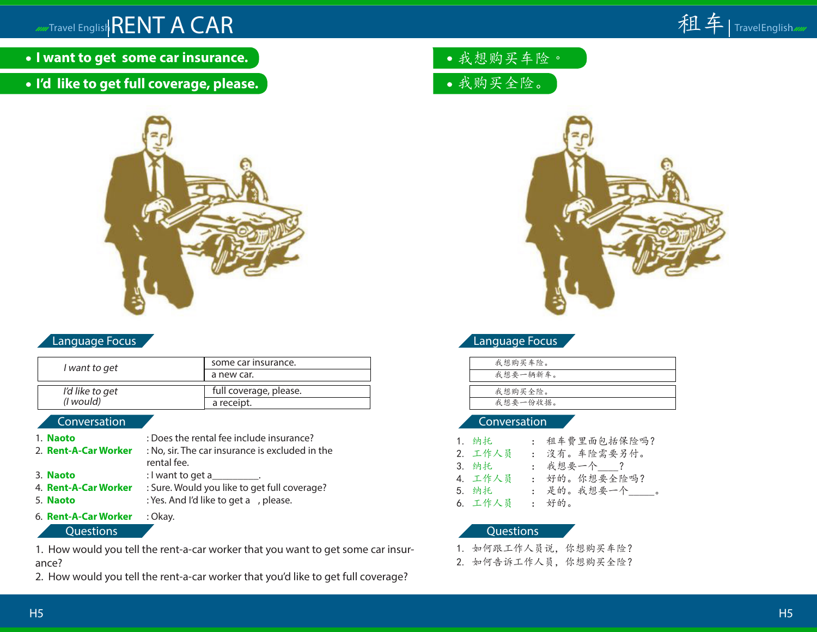

- **I want to get some car insurance.**
- **I'd like to get full coverage, please.**



# Language Focus

| I want to get   | some car insurance.    |
|-----------------|------------------------|
|                 | a new car.             |
| I'd like to get | full coverage, please. |
| (I would)       | a receipt.             |

#### Conversation

- 1. **Naoto** : Does the rental fee include insurance? 2. **Rent-A-Car Worker** : No, sir. The car insurance is excluded in the rental fee. 3. **Naoto** : I want to get a 4. **Rent-A-Car Worker** : Sure. Would you like to get full coverage? 5. **Naoto** : Yes. And I'd like to get a , please.
- 6. **Rent-A-Car Worker** : Okay.

Questions

1. How would you tell the rent-a-car worker that you want to get some car insurance?

2. How would you tell the rent-a-car worker that you'd like to get full coverage?

我想购买车险。

我购买全险。



# Language Focus

| 我想购买车险。  |
|----------|
| 我想要一辆新车。 |
|          |
| 我想购买全险。  |
| 我想要一份收据。 |
|          |

### Conversation

| 1. 纳托   | : 租车費里面包括保险吗?    |
|---------|------------------|
| 2. 工作人员 | : 沒有。车险需要另付。     |
| 3. 纳托   | : 我想要一个___?      |
| 4.工作人员  | : 好的。你想要全险吗?     |
| 5. 纳托   | : 是的。我想要一个_____。 |
| 6. 工作人员 | : 好的。            |

- 1. 如何跟工作人员说,你想购买车险?
- 2. 如何告诉工作人员,你想购买全险?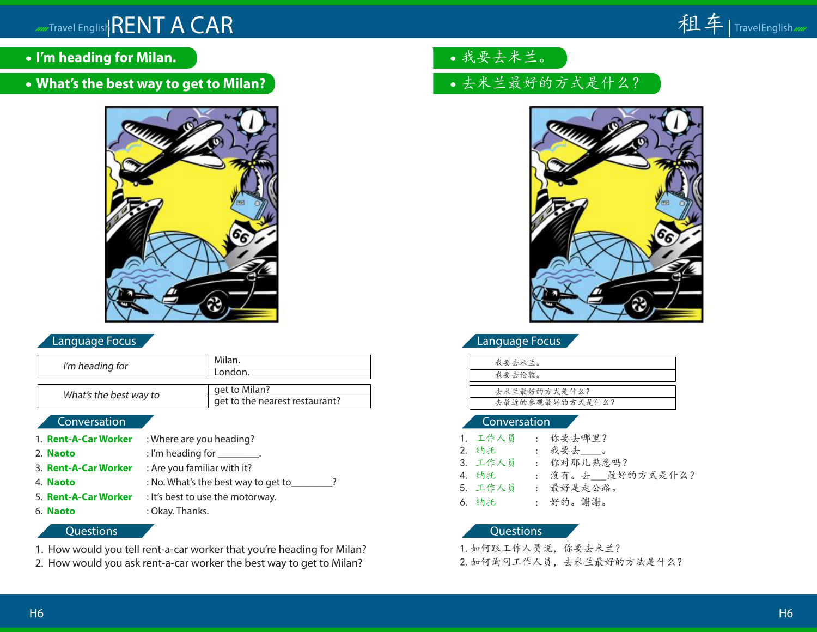- **I'm heading for Milan.**
- **What's the best way to get to Milan?**



# Language Focus

| I'm heading for        | Milan.                         |
|------------------------|--------------------------------|
|                        | London.                        |
|                        |                                |
| What's the best way to | get to Milan?                  |
|                        | get to the nearest restaurant? |
|                        |                                |

# Conversation

1. **Rent-A-Car Worker** : Where are you heading? 2. **Naoto** : I'm heading for \_\_\_\_\_\_\_\_. 3. **Rent-A-Car Worker** : Are you familiar with it? 4. **Naoto** : No. What's the best way to get to\_\_\_\_\_\_\_\_? 5. **Rent-A-Car Worker** : It's best to use the motorway. 6. **Naoto** : Okay. Thanks.

#### **Questions**

- 1. How would you tell rent-a-car worker that you're heading for Milan?
- 2. How would you ask rent-a-car worker the best way to get to Milan?
- 我要去米兰。
- 去米兰最好的方式是什么?



Language Focus

| 我要去米兰。          |  |
|-----------------|--|
| 我要去伦敦。          |  |
|                 |  |
| 去米兰最好的方式是什么?    |  |
| 去最近的参观最好的方式是什么? |  |

### Conversation

| 1. 工作人员 | : 你要去哪里?         |
|---------|------------------|
| 2. 纳托   | : 我要去___。        |
| 3. 工作人员 | : 你对那儿熟悉吗?       |
| 4. 纳托   | : 沒有。去 最好的方式是什么? |
| 5. 工作人员 | : 最好是走公路。        |
| 6. 纳托   | : 好的。謝謝。         |

#### Questions

1.如何跟工作人员说,你要去米兰?

2.如何询问工作人员,去米兰最好的方法是什么?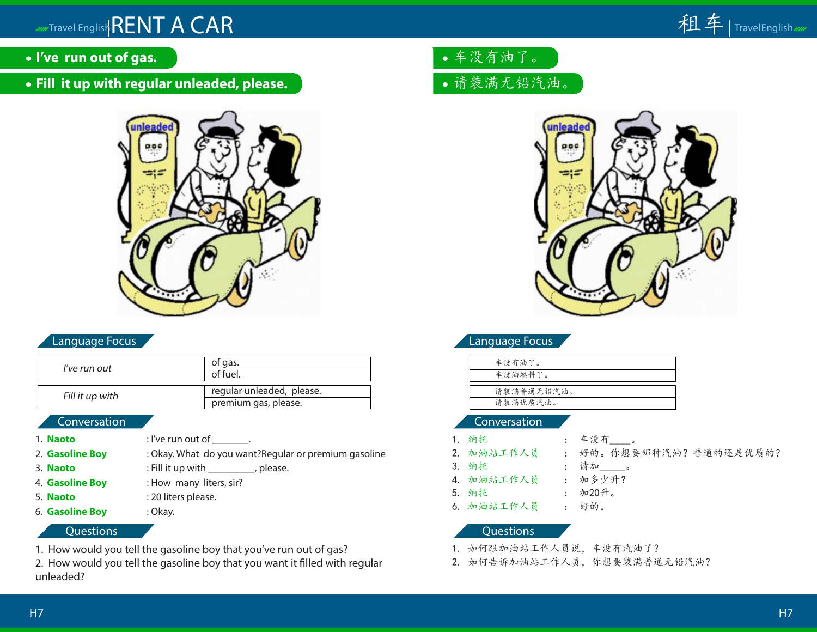- **I've run out of gas.**
- **Fill it up with regular unleaded, please.**



# Language Focus

| l've run out    | of gas.                   |
|-----------------|---------------------------|
|                 | of fuel.                  |
|                 |                           |
| Fill it up with | regular unleaded, please. |
|                 | premium gas, please.      |
|                 |                           |

# Conversation

- 1. **Naoto** : I've run out of .
- 2. **Gasoline Boy** : Okay. What do you want? Regular or premium gasoline
- 3. **Naoto** : Fill it up with \_\_\_\_\_\_\_\_\_, please.
- 4. **Gasoline Boy** : How many liters, sir?
- 
- 5. **Naoto** : 20 liters please. 6. **Gasoline Boy** : Okay.

## **Questions**

- 1. How would you tell the gasoline boy that you've run out of gas?
- 2. How would you tell the gasoline boy that you want it filled with regular unleaded?
- 车没有油了。
- 请装满无铅汽油。



# Language Focus

| 车没有油了。     |  |
|------------|--|
| 车没油燃料了。    |  |
|            |  |
| 请装满普通无铅汽油。 |  |
| 请装满优质汽油。   |  |

### Conversation

| 1. 纳托      | : 车没有 。                |
|------------|------------------------|
| 2. 加油站工作人员 | : 好的。你想要哪种汽油?普通的还是优质的? |
| 3. 纳托      | : 请加____。              |
| 4. 加油站工作人员 | : 加多少升?                |
| 5. 纳托      | : 加20升。                |
| 6. 加油站工作人员 | : 好的。                  |

- 1. 如何跟加油站工作人员说,车没有汽油了?
- 2. 如何告诉加油站工作人员,你想要装满普通无铅汽油?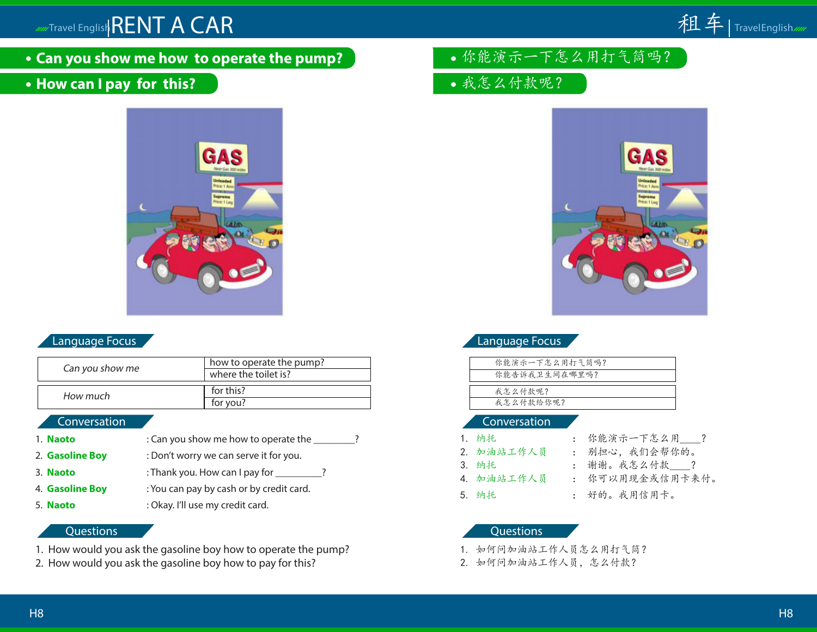**Can you show me how to operate the pump?**

# **How can I pay for this?**



# Language Focus

| Can you show me | how to operate the pump?<br>where the toilet is? |
|-----------------|--------------------------------------------------|
| How much        | for this?<br>for you?                            |

#### Conversation

| 1. <b>Naoto</b> | : Can you show me how to operate the     |
|-----------------|------------------------------------------|
| 2. Gasoline Boy | : Don't worry we can serve it for you.   |
| 3. Naoto        | : Thank you. How can I pay for _____     |
| 4. Gasoline Boy | : You can pay by cash or by credit card. |
| E. Marshall     | بالمسموط فالمتعسف ويتنبذ واللاح ومناكب   |

5. **Naoto** : Okay. I'll use my credit card.

# **Questions**

- 1. How would you ask the gasoline boy how to operate the pump?
- 2. How would you ask the gasoline boy how to pay for this?
- 你能演示一下怎么用打气筒吗?
- 我怎么付款呢?



# Language Focus

| 你能演示一下怎么用打气筒吗? |
|----------------|
| 你能告诉我卫生间在哪里吗?  |
|                |
| 我怎么付款呢?        |
| 我怎么付款给你呢?      |
|                |

### Conversation

- 
- 1. 纳托 : 你能演示一下怎么用\_\_\_\_?
- 2. 加油站工作人员 : 别担心,我们会帮你的。
- 3. 纳托 : 谢谢。我怎么付款\_\_\_\_?
- 4. 加油站工作人员 : 你可以用现金或信用卡来付。
	-
- 5. 纳托 : 好的。我用信用卡。

- 1. 如何问加油站工作人员怎么用打气筒?
- 2. 如何问加油站工作人员,怎么付款?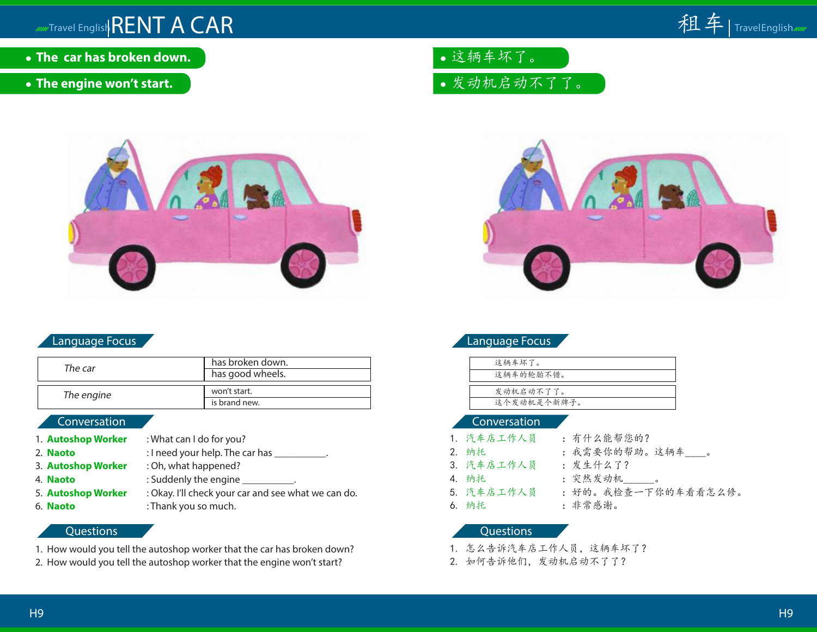- **The car has broken down.**
- **The engine won't start.**



# Language Focus

| The car    | has broken down. |  |  |
|------------|------------------|--|--|
|            | has good wheels. |  |  |
|            |                  |  |  |
| The engine | won't start.     |  |  |
|            | is brand new.    |  |  |

# **Conversation**

- 
- 
- 
- 
- 
- 

### 1. **Autoshop Worker** : What can I do for you? 2. **Naoto** : I need your help. The car has 3. **Autoshop Worker** : Oh, what happened? 4. **Naoto** : Suddenly the engine 5. **Autoshop Worker** : Okay. I'll check your car and see what we can do. 6. **Naoto** : Thank you so much.

#### **Questions**

- 1. How would you tell the autoshop worker that the car has broken down?
- 2. How would you tell the autoshop worker that the engine won't start?

这辆车坏了。

发动机启动不了了。



# Language Focus

| 这辆车坏了。      |
|-------------|
| 这辆车的轮胎不错。   |
|             |
| 发动机启动不了了。   |
| 这个发动机是个新牌子。 |

### Conversation

- 1. 汽车店工作人员 :有什么能帮您的? 2. 纳托 :我需要你的帮助。这辆车\_\_\_\_。
	-
- 3. 汽车店工作人员 : 发生什么了?
- 4. 纳托 : 突然发动机\_\_\_\_\_\_。
	-
- 5. 汽车店工作人员 :好的。我检查一下你的车看看怎么修。
- 6. 纳托 :非常感谢。
	- **Questions**
- 1. 怎么告诉汽车店工作人员,这辆车坏了?
- 2. 如何告诉他们,发动机启动不了了?